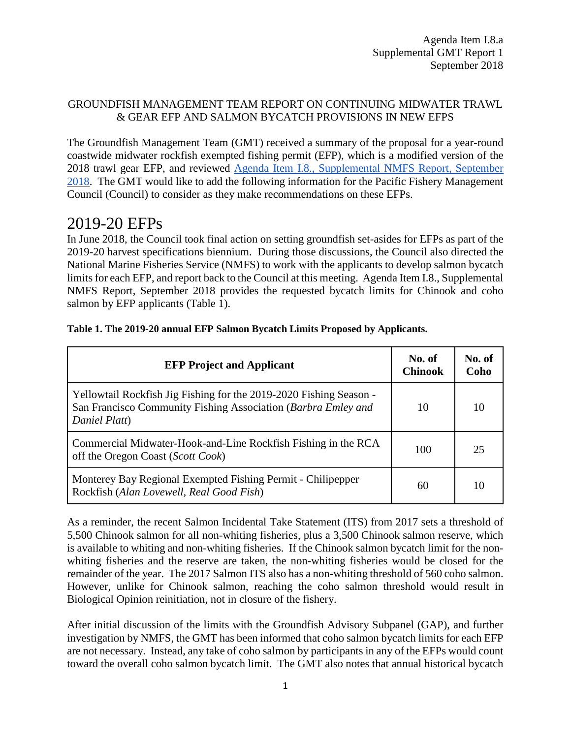#### GROUNDFISH MANAGEMENT TEAM REPORT ON CONTINUING MIDWATER TRAWL & GEAR EFP AND SALMON BYCATCH PROVISIONS IN NEW EFPS

The Groundfish Management Team (GMT) received a summary of the proposal for a year-round coastwide midwater rockfish exempted fishing permit (EFP), which is a modified version of the 2018 trawl gear EFP, and reviewed [Agenda Item I.8., Supplemental NMFS Report, September](https://www.pcouncil.org/wp-content/uploads/2018/08/I8a_Sup_NMFS_Rpt1_SEPT2018BB.pdf)  [2018.](https://www.pcouncil.org/wp-content/uploads/2018/08/I8a_Sup_NMFS_Rpt1_SEPT2018BB.pdf) The GMT would like to add the following information for the Pacific Fishery Management Council (Council) to consider as they make recommendations on these EFPs.

## 2019-20 EFPs

In June 2018, the Council took final action on setting groundfish set-asides for EFPs as part of the 2019-20 harvest specifications biennium. During those discussions, the Council also directed the National Marine Fisheries Service (NMFS) to work with the applicants to develop salmon bycatch limits for each EFP, and report back to the Council at this meeting. Agenda Item I.8., Supplemental NMFS Report, September 2018 provides the requested bycatch limits for Chinook and coho salmon by EFP applicants [\(Table 1\)](#page-0-0).

| <b>EFP Project and Applicant</b>                                                                                                                     | No. of<br><b>Chinook</b> | No. of<br>Coho |
|------------------------------------------------------------------------------------------------------------------------------------------------------|--------------------------|----------------|
| Yellowtail Rockfish Jig Fishing for the 2019-2020 Fishing Season -<br>San Francisco Community Fishing Association (Barbra Emley and<br>Daniel Platt) | 10                       | 10             |
| Commercial Midwater-Hook-and-Line Rockfish Fishing in the RCA<br>off the Oregon Coast (Scott Cook)                                                   | 100                      | 25             |
| Monterey Bay Regional Exempted Fishing Permit - Chilipepper<br>Rockfish (Alan Lovewell, Real Good Fish)                                              | 60                       | 10             |

#### <span id="page-0-0"></span>**Table 1. The 2019-20 annual EFP Salmon Bycatch Limits Proposed by Applicants.**

As a reminder, the recent Salmon Incidental Take Statement (ITS) from 2017 sets a threshold of 5,500 Chinook salmon for all non-whiting fisheries, plus a 3,500 Chinook salmon reserve, which is available to whiting and non-whiting fisheries. If the Chinook salmon bycatch limit for the nonwhiting fisheries and the reserve are taken, the non-whiting fisheries would be closed for the remainder of the year. The 2017 Salmon ITS also has a non-whiting threshold of 560 coho salmon. However, unlike for Chinook salmon, reaching the coho salmon threshold would result in Biological Opinion reinitiation, not in closure of the fishery.

After initial discussion of the limits with the Groundfish Advisory Subpanel (GAP), and further investigation by NMFS, the GMT has been informed that coho salmon bycatch limits for each EFP are not necessary. Instead, any take of coho salmon by participants in any of the EFPs would count toward the overall coho salmon bycatch limit. The GMT also notes that annual historical bycatch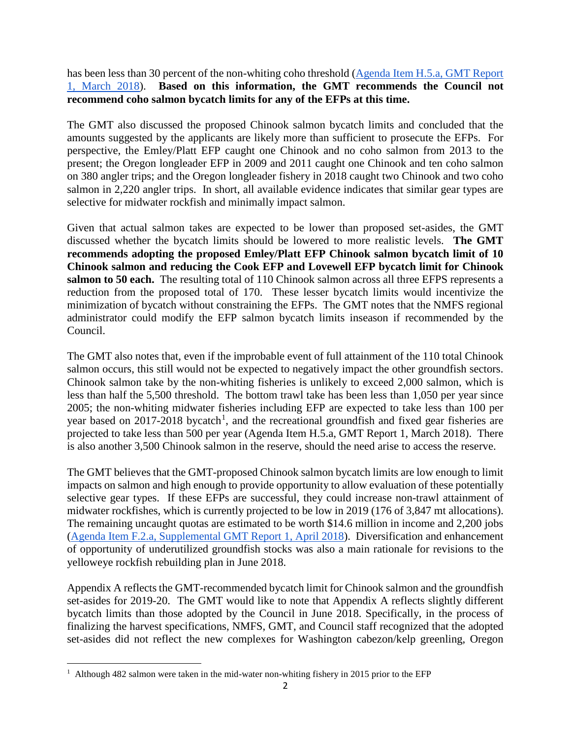has been less than 30 percent of the non-whiting coho threshold [\(Agenda Item H.5.a, GMT Report](https://www.pcouncil.org/wp-content/uploads/2018/02/H5a_GMT_Rpt1_Mar2018BB.pdf)  [1, March 2018\)](https://www.pcouncil.org/wp-content/uploads/2018/02/H5a_GMT_Rpt1_Mar2018BB.pdf). **Based on this information, the GMT recommends the Council not recommend coho salmon bycatch limits for any of the EFPs at this time.** 

The GMT also discussed the proposed Chinook salmon bycatch limits and concluded that the amounts suggested by the applicants are likely more than sufficient to prosecute the EFPs. For perspective, the Emley/Platt EFP caught one Chinook and no coho salmon from 2013 to the present; the Oregon longleader EFP in 2009 and 2011 caught one Chinook and ten coho salmon on 380 angler trips; and the Oregon longleader fishery in 2018 caught two Chinook and two coho salmon in 2,220 angler trips. In short, all available evidence indicates that similar gear types are selective for midwater rockfish and minimally impact salmon.

Given that actual salmon takes are expected to be lower than proposed set-asides, the GMT discussed whether the bycatch limits should be lowered to more realistic levels. **The GMT recommends adopting the proposed Emley/Platt EFP Chinook salmon bycatch limit of 10 Chinook salmon and reducing the Cook EFP and Lovewell EFP bycatch limit for Chinook**  salmon to 50 each. The resulting total of 110 Chinook salmon across all three EFPS represents a reduction from the proposed total of 170. These lesser bycatch limits would incentivize the minimization of bycatch without constraining the EFPs. The GMT notes that the NMFS regional administrator could modify the EFP salmon bycatch limits inseason if recommended by the Council.

The GMT also notes that, even if the improbable event of full attainment of the 110 total Chinook salmon occurs, this still would not be expected to negatively impact the other groundfish sectors. Chinook salmon take by the non-whiting fisheries is unlikely to exceed 2,000 salmon, which is less than half the 5,500 threshold. The bottom trawl take has been less than 1,050 per year since 2005; the non-whiting midwater fisheries including EFP are expected to take less than 100 per year based on 20[1](#page-1-0)7-2018 bycatch<sup>1</sup>, and the recreational groundfish and fixed gear fisheries are projected to take less than 500 per year (Agenda Item H.5.a, GMT Report 1, March 2018). There is also another 3,500 Chinook salmon in the reserve, should the need arise to access the reserve.

The GMT believes that the GMT-proposed Chinook salmon bycatch limits are low enough to limit impacts on salmon and high enough to provide opportunity to allow evaluation of these potentially selective gear types. If these EFPs are successful, they could increase non-trawl attainment of midwater rockfishes, which is currently projected to be low in 2019 (176 of 3,847 mt allocations). The remaining uncaught quotas are estimated to be worth \$14.6 million in income and 2,200 jobs [\(Agenda Item F.2.a, Supplemental GMT Report 1, April 2018\)](https://www.pcouncil.org/wp-content/uploads/2018/04/F2a_Supp_GMT_Rpt1_Apr2018BB.pdf). Diversification and enhancement of opportunity of underutilized groundfish stocks was also a main rationale for revisions to the yelloweye rockfish rebuilding plan in June 2018.

Appendix A reflects the GMT-recommended bycatch limit for Chinook salmon and the groundfish set-asides for 2019-20. The GMT would like to note that Appendix A reflects slightly different bycatch limits than those adopted by the Council in June 2018. Specifically, in the process of finalizing the harvest specifications, NMFS, GMT, and Council staff recognized that the adopted set-asides did not reflect the new complexes for Washington cabezon/kelp greenling, Oregon

<span id="page-1-0"></span>l  $<sup>1</sup>$  Although 482 salmon were taken in the mid-water non-whiting fishery in 2015 prior to the EFP</sup>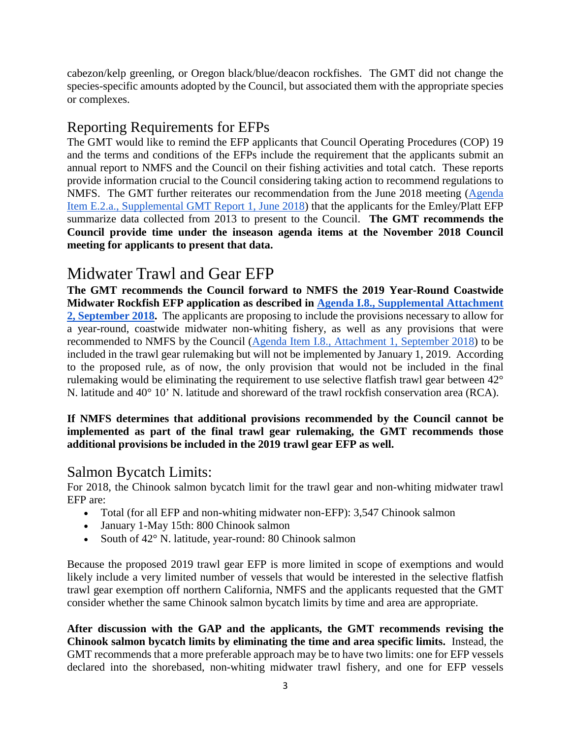cabezon/kelp greenling, or Oregon black/blue/deacon rockfishes. The GMT did not change the species-specific amounts adopted by the Council, but associated them with the appropriate species or complexes.

### Reporting Requirements for EFPs

The GMT would like to remind the EFP applicants that Council Operating Procedures (COP) 19 and the terms and conditions of the EFPs include the requirement that the applicants submit an annual report to NMFS and the Council on their fishing activities and total catch. These reports provide information crucial to the Council considering taking action to recommend regulations to NMFS. The GMT further reiterates our recommendation from the June 2018 meeting [\(Agenda](https://www.pcouncil.org/wp-content/uploads/2018/06/E2a_Supp_GMT_Rpt1_JUNE2018BB.pdf)  [Item E.2.a., Supplemental GMT Report 1, June 2018\)](https://www.pcouncil.org/wp-content/uploads/2018/06/E2a_Supp_GMT_Rpt1_JUNE2018BB.pdf) that the applicants for the Emley/Platt EFP summarize data collected from 2013 to present to the Council. **The GMT recommends the Council provide time under the inseason agenda items at the November 2018 Council meeting for applicants to present that data.**

# Midwater Trawl and Gear EFP

**The GMT recommends the Council forward to NMFS the 2019 Year-Round Coastwide Midwater Rockfish EFP application as described in [Agenda I.8., Supplemental Attachment](https://www.pcouncil.org/wp-content/uploads/2018/08/I8_Supp_Att2_TrawlEFP_SEPT2018BB.pdf)  [2, September 2018.](https://www.pcouncil.org/wp-content/uploads/2018/08/I8_Supp_Att2_TrawlEFP_SEPT2018BB.pdf)** The applicants are proposing to include the provisions necessary to allow for a year-round, coastwide midwater non-whiting fishery, as well as any provisions that were recommended to NMFS by the Council [\(Agenda Item I.8., Attachment 1, September 2018\)](https://www.pcouncil.org/wp-content/uploads/2018/08/I8_Att1_Thom_re_Gear_Rule_deeming_Ltr_SEPT2018BB.pdf) to be included in the trawl gear rulemaking but will not be implemented by January 1, 2019. According to the proposed rule, as of now, the only provision that would not be included in the final rulemaking would be eliminating the requirement to use selective flatfish trawl gear between 42° N. latitude and 40° 10' N. latitude and shoreward of the trawl rockfish conservation area (RCA).

#### **If NMFS determines that additional provisions recommended by the Council cannot be implemented as part of the final trawl gear rulemaking, the GMT recommends those additional provisions be included in the 2019 trawl gear EFP as well.**

### Salmon Bycatch Limits:

For 2018, the Chinook salmon bycatch limit for the trawl gear and non-whiting midwater trawl EFP are:

- Total (for all EFP and non-whiting midwater non-EFP): 3,547 Chinook salmon
- January 1-May 15th: 800 Chinook salmon
- South of 42° N. latitude, year-round: 80 Chinook salmon

Because the proposed 2019 trawl gear EFP is more limited in scope of exemptions and would likely include a very limited number of vessels that would be interested in the selective flatfish trawl gear exemption off northern California, NMFS and the applicants requested that the GMT consider whether the same Chinook salmon bycatch limits by time and area are appropriate.

**After discussion with the GAP and the applicants, the GMT recommends revising the Chinook salmon bycatch limits by eliminating the time and area specific limits.** Instead, the GMT recommends that a more preferable approach may be to have two limits: one for EFP vessels declared into the shorebased, non-whiting midwater trawl fishery, and one for EFP vessels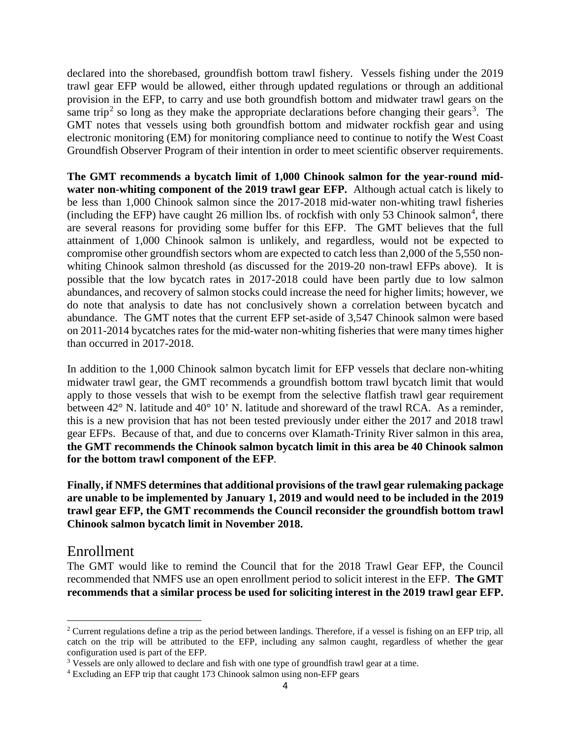declared into the shorebased, groundfish bottom trawl fishery. Vessels fishing under the 2019 trawl gear EFP would be allowed, either through updated regulations or through an additional provision in the EFP, to carry and use both groundfish bottom and midwater trawl gears on the same trip<sup>[2](#page-3-0)</sup> so long as they make the appropriate declarations before changing their gears<sup>[3](#page-3-1)</sup>. The GMT notes that vessels using both groundfish bottom and midwater rockfish gear and using electronic monitoring (EM) for monitoring compliance need to continue to notify the West Coast Groundfish Observer Program of their intention in order to meet scientific observer requirements.

**The GMT recommends a bycatch limit of 1,000 Chinook salmon for the year-round midwater non-whiting component of the 2019 trawl gear EFP.** Although actual catch is likely to be less than 1,000 Chinook salmon since the 2017-2018 mid-water non-whiting trawl fisheries (including the EFP) have caught 26 million lbs. of rockfish with only 53 Chinook salmon<sup>[4](#page-3-2)</sup>, there are several reasons for providing some buffer for this EFP. The GMT believes that the full attainment of 1,000 Chinook salmon is unlikely, and regardless, would not be expected to compromise other groundfish sectors whom are expected to catch less than 2,000 of the 5,550 nonwhiting Chinook salmon threshold (as discussed for the 2019-20 non-trawl EFPs above). It is possible that the low bycatch rates in 2017-2018 could have been partly due to low salmon abundances, and recovery of salmon stocks could increase the need for higher limits; however, we do note that analysis to date has not conclusively shown a correlation between bycatch and abundance. The GMT notes that the current EFP set-aside of 3,547 Chinook salmon were based on 2011-2014 bycatches rates for the mid-water non-whiting fisheries that were many times higher than occurred in 2017-2018.

In addition to the 1,000 Chinook salmon bycatch limit for EFP vessels that declare non-whiting midwater trawl gear, the GMT recommends a groundfish bottom trawl bycatch limit that would apply to those vessels that wish to be exempt from the selective flatfish trawl gear requirement between 42° N. latitude and 40° 10' N. latitude and shoreward of the trawl RCA. As a reminder, this is a new provision that has not been tested previously under either the 2017 and 2018 trawl gear EFPs. Because of that, and due to concerns over Klamath-Trinity River salmon in this area, **the GMT recommends the Chinook salmon bycatch limit in this area be 40 Chinook salmon for the bottom trawl component of the EFP**.

**Finally, if NMFS determines that additional provisions of the trawl gear rulemaking package are unable to be implemented by January 1, 2019 and would need to be included in the 2019 trawl gear EFP, the GMT recommends the Council reconsider the groundfish bottom trawl Chinook salmon bycatch limit in November 2018.** 

### Enrollment

The GMT would like to remind the Council that for the 2018 Trawl Gear EFP, the Council recommended that NMFS use an open enrollment period to solicit interest in the EFP. **The GMT recommends that a similar process be used for soliciting interest in the 2019 trawl gear EFP.**

<span id="page-3-0"></span> $\overline{\phantom{a}}$ <sup>2</sup> Current regulations define a trip as the period between landings. Therefore, if a vessel is fishing on an EFP trip, all catch on the trip will be attributed to the EFP, including any salmon caught, regardless of whether the gear configuration used is part of the EFP.

<span id="page-3-1"></span><sup>3</sup> Vessels are only allowed to declare and fish with one type of groundfish trawl gear at a time.

<span id="page-3-2"></span><sup>4</sup> Excluding an EFP trip that caught 173 Chinook salmon using non-EFP gears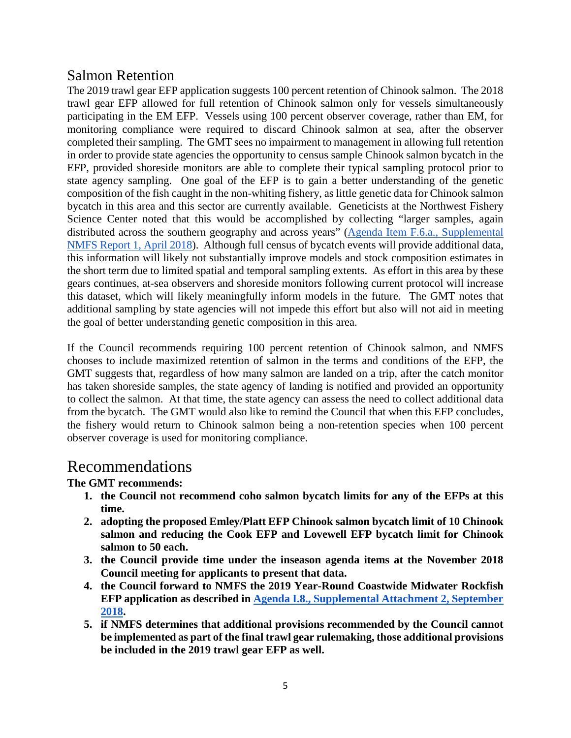### Salmon Retention

The 2019 trawl gear EFP application suggests 100 percent retention of Chinook salmon. The 2018 trawl gear EFP allowed for full retention of Chinook salmon only for vessels simultaneously participating in the EM EFP. Vessels using 100 percent observer coverage, rather than EM, for monitoring compliance were required to discard Chinook salmon at sea, after the observer completed their sampling. The GMT sees no impairment to management in allowing full retention in order to provide state agencies the opportunity to census sample Chinook salmon bycatch in the EFP, provided shoreside monitors are able to complete their typical sampling protocol prior to state agency sampling. One goal of the EFP is to gain a better understanding of the genetic composition of the fish caught in the non-whiting fishery, as little genetic data for Chinook salmon bycatch in this area and this sector are currently available. Geneticists at the Northwest Fishery Science Center noted that this would be accomplished by collecting "larger samples, again distributed across the southern geography and across years" [\(Agenda Item F.6.a., Supplemental](https://www.pcouncil.org/wp-content/uploads/2018/04/F6a_Supp_NMFS_Rpt1_Apr2018BB.pdf)  [NMFS Report 1, April 2018\)](https://www.pcouncil.org/wp-content/uploads/2018/04/F6a_Supp_NMFS_Rpt1_Apr2018BB.pdf). Although full census of bycatch events will provide additional data, this information will likely not substantially improve models and stock composition estimates in the short term due to limited spatial and temporal sampling extents. As effort in this area by these gears continues, at-sea observers and shoreside monitors following current protocol will increase this dataset, which will likely meaningfully inform models in the future. The GMT notes that additional sampling by state agencies will not impede this effort but also will not aid in meeting the goal of better understanding genetic composition in this area.

If the Council recommends requiring 100 percent retention of Chinook salmon, and NMFS chooses to include maximized retention of salmon in the terms and conditions of the EFP, the GMT suggests that, regardless of how many salmon are landed on a trip, after the catch monitor has taken shoreside samples, the state agency of landing is notified and provided an opportunity to collect the salmon. At that time, the state agency can assess the need to collect additional data from the bycatch. The GMT would also like to remind the Council that when this EFP concludes, the fishery would return to Chinook salmon being a non-retention species when 100 percent observer coverage is used for monitoring compliance.

### Recommendations

### **The GMT recommends:**

- **1. the Council not recommend coho salmon bycatch limits for any of the EFPs at this time.**
- **2. adopting the proposed Emley/Platt EFP Chinook salmon bycatch limit of 10 Chinook salmon and reducing the Cook EFP and Lovewell EFP bycatch limit for Chinook salmon to 50 each.**
- **3. the Council provide time under the inseason agenda items at the November 2018 Council meeting for applicants to present that data.**
- **4. the Council forward to NMFS the 2019 Year-Round Coastwide Midwater Rockfish EFP application as described in [Agenda I.8., Supplemental Attachment 2, September](https://www.pcouncil.org/wp-content/uploads/2018/08/I8_Supp_Att2_TrawlEFP_SEPT2018BB.pdf)  [2018.](https://www.pcouncil.org/wp-content/uploads/2018/08/I8_Supp_Att2_TrawlEFP_SEPT2018BB.pdf)**
- **5. if NMFS determines that additional provisions recommended by the Council cannot be implemented as part of the final trawl gear rulemaking, those additional provisions be included in the 2019 trawl gear EFP as well.**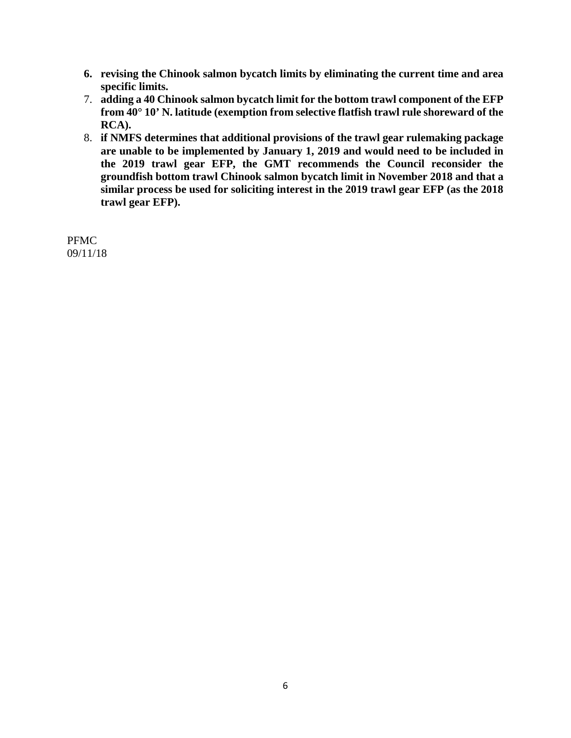- **6. revising the Chinook salmon bycatch limits by eliminating the current time and area specific limits.**
- 7. **adding a 40 Chinook salmon bycatch limit for the bottom trawl component of the EFP from 40° 10' N. latitude (exemption from selective flatfish trawl rule shoreward of the RCA).**
- 8. **if NMFS determines that additional provisions of the trawl gear rulemaking package are unable to be implemented by January 1, 2019 and would need to be included in the 2019 trawl gear EFP, the GMT recommends the Council reconsider the groundfish bottom trawl Chinook salmon bycatch limit in November 2018 and that a similar process be used for soliciting interest in the 2019 trawl gear EFP (as the 2018 trawl gear EFP).**

PFMC 09/11/18